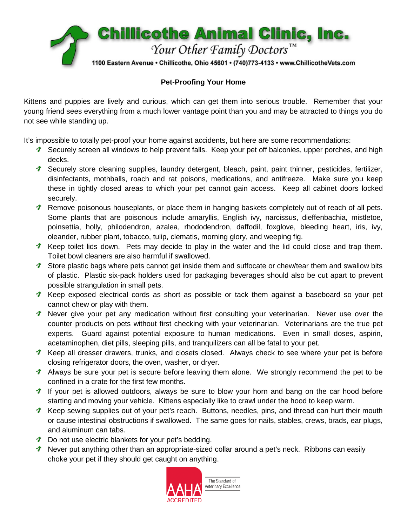

#### **Pet-Proofing Your Home**

Kittens and puppies are lively and curious, which can get them into serious trouble. Remember that your young friend sees everything from a much lower vantage point than you and may be attracted to things you do not see while standing up.

It's impossible to totally pet-proof your home against accidents, but here are some recommendations:

- **T** Securely screen all windows to help prevent falls. Keep your pet off balconies, upper porches, and high decks.
- Securely store cleaning supplies, laundry detergent, bleach, paint, paint thinner, pesticides, fertilizer, disinfectants, mothballs, roach and rat poisons, medications, and antifreeze. Make sure you keep these in tightly closed areas to which your pet cannot gain access. Keep all cabinet doors locked securely.
- **T** Remove poisonous houseplants, or place them in hanging baskets completely out of reach of all pets. Some plants that are poisonous include amaryllis, English ivy, narcissus, dieffenbachia, mistletoe, poinsettia, holly, philodendron, azalea, rhododendron, daffodil, foxglove, bleeding heart, iris, ivy, oleander, rubber plant, tobacco, tulip, clematis, morning glory, and weeping fig.
- ↑ Keep toilet lids down. Pets may decide to play in the water and the lid could close and trap them. Toilet bowl cleaners are also harmful if swallowed.
- Store plastic bags where pets cannot get inside them and suffocate or chew/tear them and swallow bits of plastic. Plastic six-pack holders used for packaging beverages should also be cut apart to prevent possible strangulation in small pets.
- Keep exposed electrical cords as short as possible or tack them against a baseboard so your pet cannot chew or play with them.
- **T** Never give your pet any medication without first consulting your veterinarian. Never use over the counter products on pets without first checking with your veterinarian. Veterinarians are the true pet experts. Guard against potential exposure to human medications. Even in small doses, aspirin, acetaminophen, diet pills, sleeping pills, and tranquilizers can all be fatal to your pet.
- <sup>t</sup> Keep all dresser drawers, trunks, and closets closed. Always check to see where your pet is before closing refrigerator doors, the oven, washer, or dryer.
- <sup>1</sup> Always be sure your pet is secure before leaving them alone. We strongly recommend the pet to be confined in a crate for the first few months.
- **If your pet is allowed outdoors, always be sure to blow your horn and bang on the car hood before** starting and moving your vehicle. Kittens especially like to crawl under the hood to keep warm.
- ↑ Keep sewing supplies out of your pet's reach. Buttons, needles, pins, and thread can hurt their mouth or cause intestinal obstructions if swallowed. The same goes for nails, stables, crews, brads, ear plugs, and aluminum can tabs.
- **T** Do not use electric blankets for your pet's bedding.
- ↑ Never put anything other than an appropriate-sized collar around a pet's neck. Ribbons can easily choke your pet if they should get caught on anything.

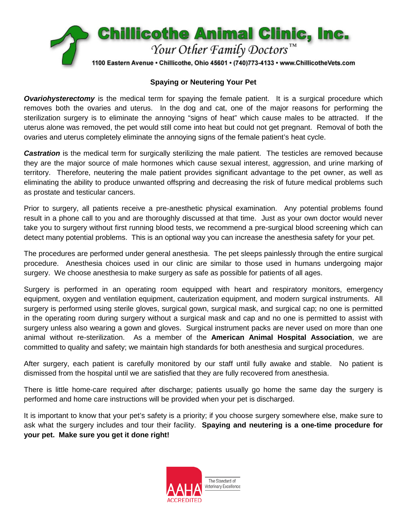

#### **Spaying or Neutering Your Pet**

**Ovariohysterectomy** is the medical term for spaying the female patient. It is a surgical procedure which removes both the ovaries and uterus. In the dog and cat, one of the major reasons for performing the sterilization surgery is to eliminate the annoying "signs of heat" which cause males to be attracted. If the uterus alone was removed, the pet would still come into heat but could not get pregnant. Removal of both the ovaries and uterus completely eliminate the annoying signs of the female patient's heat cycle.

**Castration** is the medical term for surgically sterilizing the male patient. The testicles are removed because they are the major source of male hormones which cause sexual interest, aggression, and urine marking of territory. Therefore, neutering the male patient provides significant advantage to the pet owner, as well as eliminating the ability to produce unwanted offspring and decreasing the risk of future medical problems such as prostate and testicular cancers.

Prior to surgery, all patients receive a pre-anesthetic physical examination. Any potential problems found result in a phone call to you and are thoroughly discussed at that time. Just as your own doctor would never take you to surgery without first running blood tests, we recommend a pre-surgical blood screening which can detect many potential problems. This is an optional way you can increase the anesthesia safety for your pet.

The procedures are performed under general anesthesia. The pet sleeps painlessly through the entire surgical procedure. Anesthesia choices used in our clinic are similar to those used in humans undergoing major surgery. We choose anesthesia to make surgery as safe as possible for patients of all ages.

Surgery is performed in an operating room equipped with heart and respiratory monitors, emergency equipment, oxygen and ventilation equipment, cauterization equipment, and modern surgical instruments. All surgery is performed using sterile gloves, surgical gown, surgical mask, and surgical cap; no one is permitted in the operating room during surgery without a surgical mask and cap and no one is permitted to assist with surgery unless also wearing a gown and gloves. Surgical instrument packs are never used on more than one animal without re-sterilization. As a member of the **American Animal Hospital Association**, we are committed to quality and safety; we maintain high standards for both anesthesia and surgical procedures.

After surgery, each patient is carefully monitored by our staff until fully awake and stable. No patient is dismissed from the hospital until we are satisfied that they are fully recovered from anesthesia.

There is little home-care required after discharge; patients usually go home the same day the surgery is performed and home care instructions will be provided when your pet is discharged.

It is important to know that your pet's safety is a priority; if you choose surgery somewhere else, make sure to ask what the surgery includes and tour their facility. **Spaying and neutering is a one-time procedure for your pet. Make sure you get it done right!**

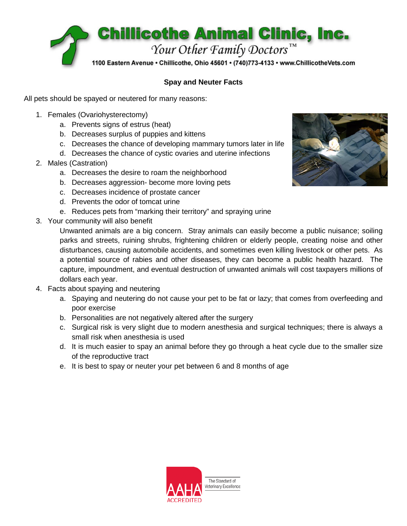

## **Spay and Neuter Facts**

All pets should be spayed or neutered for many reasons:

- 1. Females (Ovariohysterectomy)
	- a. Prevents signs of estrus (heat)
	- b. Decreases surplus of puppies and kittens
	- c. Decreases the chance of developing mammary tumors later in life
	- d. Decreases the chance of cystic ovaries and uterine infections
- 2. Males (Castration)
	- a. Decreases the desire to roam the neighborhood
	- b. Decreases aggression- become more loving pets
	- c. Decreases incidence of prostate cancer
	- d. Prevents the odor of tomcat urine
	- e. Reduces pets from "marking their territory" and spraying urine
- 3. Your community will also benefit

Unwanted animals are a big concern. Stray animals can easily become a public nuisance; soiling parks and streets, ruining shrubs, frightening children or elderly people, creating noise and other disturbances, causing automobile accidents, and sometimes even killing livestock or other pets. As a potential source of rabies and other diseases, they can become a public health hazard. The capture, impoundment, and eventual destruction of unwanted animals will cost taxpayers millions of dollars each year.

- 4. Facts about spaying and neutering
	- a. Spaying and neutering do not cause your pet to be fat or lazy; that comes from overfeeding and poor exercise
	- b. Personalities are not negatively altered after the surgery
	- c. Surgical risk is very slight due to modern anesthesia and surgical techniques; there is always a small risk when anesthesia is used
	- d. It is much easier to spay an animal before they go through a heat cycle due to the smaller size of the reproductive tract
	- e. It is best to spay or neuter your pet between 6 and 8 months of age

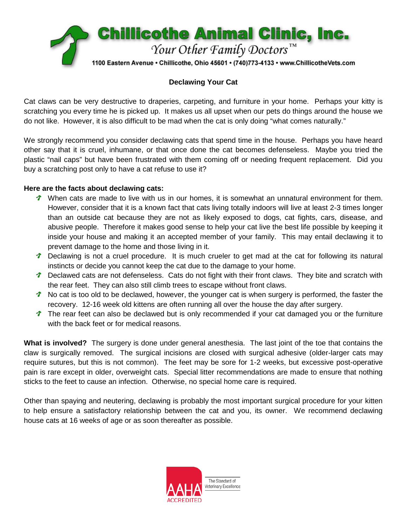

### **Declawing Your Cat**

Cat claws can be very destructive to draperies, carpeting, and furniture in your home. Perhaps your kitty is scratching you every time he is picked up. It makes us all upset when our pets do things around the house we do not like. However, it is also difficult to be mad when the cat is only doing "what comes naturally."

We strongly recommend you consider declawing cats that spend time in the house. Perhaps you have heard other say that it is cruel, inhumane, or that once done the cat becomes defenseless. Maybe you tried the plastic "nail caps" but have been frustrated with them coming off or needing frequent replacement. Did you buy a scratching post only to have a cat refuse to use it?

#### **Here are the facts about declawing cats:**

- When cats are made to live with us in our homes, it is somewhat an unnatural environment for them. However, consider that it is a known fact that cats living totally indoors will live at least 2-3 times longer than an outside cat because they are not as likely exposed to dogs, cat fights, cars, disease, and abusive people. Therefore it makes good sense to help your cat live the best life possible by keeping it inside your house and making it an accepted member of your family. This may entail declawing it to prevent damage to the home and those living in it.
- Declawing is not a cruel procedure. It is much crueler to get mad at the cat for following its natural instincts or decide you cannot keep the cat due to the damage to your home.
- Declawed cats are not defenseless. Cats do not fight with their front claws. They bite and scratch with the rear feet. They can also still climb trees to escape without front claws.
- No cat is too old to be declawed, however, the younger cat is when surgery is performed, the faster the recovery. 12-16 week old kittens are often running all over the house the day after surgery.
- The rear feet can also be declawed but is only recommended if your cat damaged you or the furniture with the back feet or for medical reasons.

**What is involved?** The surgery is done under general anesthesia. The last joint of the toe that contains the claw is surgically removed. The surgical incisions are closed with surgical adhesive (older-larger cats may require sutures, but this is not common). The feet may be sore for 1-2 weeks, but excessive post-operative pain is rare except in older, overweight cats. Special litter recommendations are made to ensure that nothing sticks to the feet to cause an infection. Otherwise, no special home care is required.

Other than spaying and neutering, declawing is probably the most important surgical procedure for your kitten to help ensure a satisfactory relationship between the cat and you, its owner. We recommend declawing house cats at 16 weeks of age or as soon thereafter as possible.

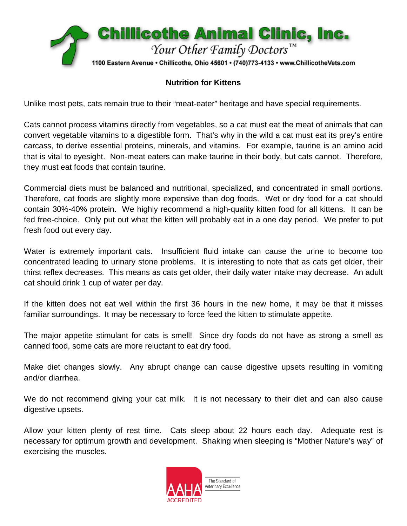

# **Nutrition for Kittens**

Unlike most pets, cats remain true to their "meat-eater" heritage and have special requirements.

Cats cannot process vitamins directly from vegetables, so a cat must eat the meat of animals that can convert vegetable vitamins to a digestible form. That's why in the wild a cat must eat its prey's entire carcass, to derive essential proteins, minerals, and vitamins. For example, taurine is an amino acid that is vital to eyesight. Non-meat eaters can make taurine in their body, but cats cannot. Therefore, they must eat foods that contain taurine.

Commercial diets must be balanced and nutritional, specialized, and concentrated in small portions. Therefore, cat foods are slightly more expensive than dog foods. Wet or dry food for a cat should contain 30%-40% protein. We highly recommend a high-quality kitten food for all kittens. It can be fed free-choice. Only put out what the kitten will probably eat in a one day period. We prefer to put fresh food out every day.

Water is extremely important cats. Insufficient fluid intake can cause the urine to become too concentrated leading to urinary stone problems. It is interesting to note that as cats get older, their thirst reflex decreases. This means as cats get older, their daily water intake may decrease. An adult cat should drink 1 cup of water per day.

If the kitten does not eat well within the first 36 hours in the new home, it may be that it misses familiar surroundings. It may be necessary to force feed the kitten to stimulate appetite.

The major appetite stimulant for cats is smell! Since dry foods do not have as strong a smell as canned food, some cats are more reluctant to eat dry food.

Make diet changes slowly. Any abrupt change can cause digestive upsets resulting in vomiting and/or diarrhea.

We do not recommend giving your cat milk. It is not necessary to their diet and can also cause digestive upsets.

Allow your kitten plenty of rest time. Cats sleep about 22 hours each day. Adequate rest is necessary for optimum growth and development. Shaking when sleeping is "Mother Nature's way" of exercising the muscles.

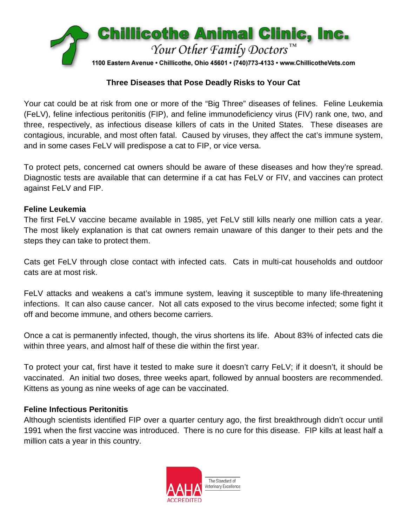

## **Three Diseases that Pose Deadly Risks to Your Cat**

Your cat could be at risk from one or more of the "Big Three" diseases of felines. Feline Leukemia (FeLV), feline infectious peritonitis (FIP), and feline immunodeficiency virus (FIV) rank one, two, and three, respectively, as infectious disease killers of cats in the United States. These diseases are contagious, incurable, and most often fatal. Caused by viruses, they affect the cat's immune system, and in some cases FeLV will predispose a cat to FIP, or vice versa.

To protect pets, concerned cat owners should be aware of these diseases and how they're spread. Diagnostic tests are available that can determine if a cat has FeLV or FIV, and vaccines can protect against FeLV and FIP.

### **Feline Leukemia**

The first FeLV vaccine became available in 1985, yet FeLV still kills nearly one million cats a year. The most likely explanation is that cat owners remain unaware of this danger to their pets and the steps they can take to protect them.

Cats get FeLV through close contact with infected cats. Cats in multi-cat households and outdoor cats are at most risk.

FeLV attacks and weakens a cat's immune system, leaving it susceptible to many life-threatening infections. It can also cause cancer. Not all cats exposed to the virus become infected; some fight it off and become immune, and others become carriers.

Once a cat is permanently infected, though, the virus shortens its life. About 83% of infected cats die within three years, and almost half of these die within the first year.

To protect your cat, first have it tested to make sure it doesn't carry FeLV; if it doesn't, it should be vaccinated. An initial two doses, three weeks apart, followed by annual boosters are recommended. Kittens as young as nine weeks of age can be vaccinated.

## **Feline Infectious Peritonitis**

Although scientists identified FIP over a quarter century ago, the first breakthrough didn't occur until 1991 when the first vaccine was introduced. There is no cure for this disease. FIP kills at least half a million cats a year in this country.

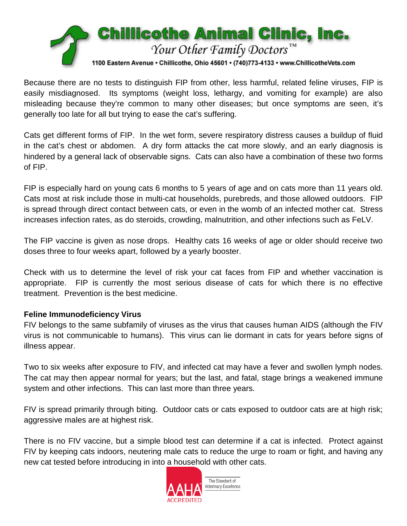

Because there are no tests to distinguish FIP from other, less harmful, related feline viruses, FIP is easily misdiagnosed. Its symptoms (weight loss, lethargy, and vomiting for example) are also misleading because they're common to many other diseases; but once symptoms are seen, it's generally too late for all but trying to ease the cat's suffering.

Cats get different forms of FIP. In the wet form, severe respiratory distress causes a buildup of fluid in the cat's chest or abdomen. A dry form attacks the cat more slowly, and an early diagnosis is hindered by a general lack of observable signs. Cats can also have a combination of these two forms of FIP.

FIP is especially hard on young cats 6 months to 5 years of age and on cats more than 11 years old. Cats most at risk include those in multi-cat households, purebreds, and those allowed outdoors. FIP is spread through direct contact between cats, or even in the womb of an infected mother cat. Stress increases infection rates, as do steroids, crowding, malnutrition, and other infections such as FeLV.

The FIP vaccine is given as nose drops. Healthy cats 16 weeks of age or older should receive two doses three to four weeks apart, followed by a yearly booster.

Check with us to determine the level of risk your cat faces from FIP and whether vaccination is appropriate. FIP is currently the most serious disease of cats for which there is no effective treatment. Prevention is the best medicine.

## **Feline Immunodeficiency Virus**

FIV belongs to the same subfamily of viruses as the virus that causes human AIDS (although the FIV virus is not communicable to humans). This virus can lie dormant in cats for years before signs of illness appear.

Two to six weeks after exposure to FIV, and infected cat may have a fever and swollen lymph nodes. The cat may then appear normal for years; but the last, and fatal, stage brings a weakened immune system and other infections. This can last more than three years.

FIV is spread primarily through biting. Outdoor cats or cats exposed to outdoor cats are at high risk; aggressive males are at highest risk.

There is no FIV vaccine, but a simple blood test can determine if a cat is infected. Protect against FIV by keeping cats indoors, neutering male cats to reduce the urge to roam or fight, and having any new cat tested before introducing in into a household with other cats.